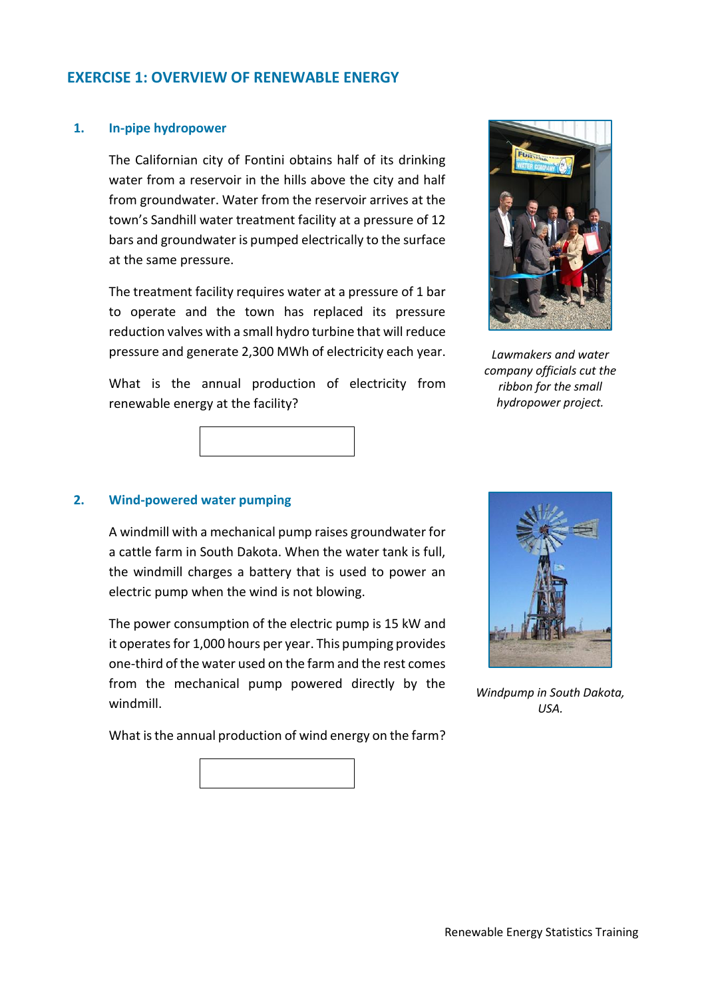# **EXERCISE 1: OVERVIEW OF RENEWABLE ENERGY**

#### **1. In-pipe hydropower**

The Californian city of Fontini obtains half of its drinking water from a reservoir in the hills above the city and half from groundwater. Water from the reservoir arrives at the town's Sandhill water treatment facility at a pressure of 12 bars and groundwater is pumped electrically to the surface at the same pressure.

The treatment facility requires water at a pressure of 1 bar to operate and the town has replaced its pressure reduction valves with a small hydro turbine that will reduce pressure and generate 2,300 MWh of electricity each year.

*Lawmakers and water company officials cut the ribbon for the small hydropower project.*



What is the annual production of electricity from

#### **2. Wind-powered water pumping**

renewable energy at the facility?

A windmill with a mechanical pump raises groundwater for a cattle farm in South Dakota. When the water tank is full, the windmill charges a battery that is used to power an electric pump when the wind is not blowing.

The power consumption of the electric pump is 15 kW and it operates for 1,000 hours per year. This pumping provides one-third of the water used on the farm and the rest comes from the mechanical pump powered directly by the windmill.

What is the annual production of wind energy on the farm?



*Windpump in South Dakota, USA.*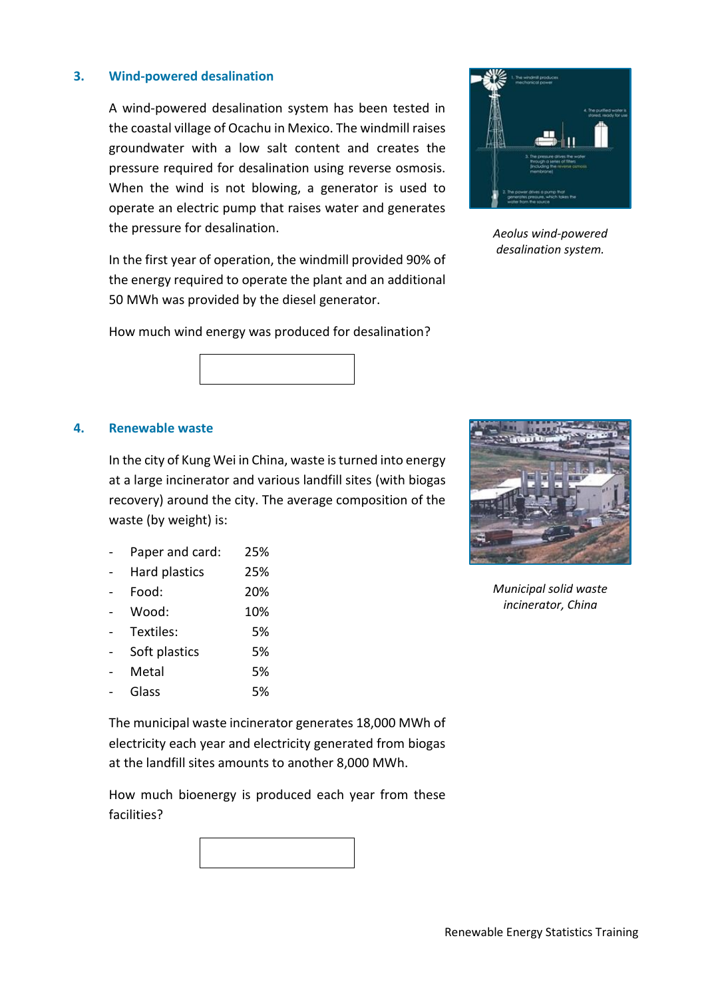## **3. Wind-powered desalination**

A wind-powered desalination system has been tested in the coastal village of Ocachu in Mexico. The windmill raises groundwater with a low salt content and creates the pressure required for desalination using reverse osmosis. When the wind is not blowing, a generator is used to operate an electric pump that raises water and generates the pressure for desalination.

In the first year of operation, the windmill provided 90% of the energy required to operate the plant and an additional 50 MWh was provided by the diesel generator.



*Aeolus wind-powered desalination system.*

How much wind energy was produced for desalination?

 $\mathcal{L}_\text{max}$ 

#### **4. Renewable waste**

In the city of Kung Wei in China, waste is turned into energy at a large incinerator and various landfill sites (with biogas recovery) around the city. The average composition of the waste (by weight) is:

|  | Paper and card: | 25% |
|--|-----------------|-----|
|--|-----------------|-----|

- Hard plastics 25%
- Food: 20%
- Wood: 10%
- Textiles: 5%
- Soft plastics 5%
- Metal 5%
- Glass 5%

*Municipal solid waste incinerator, China*

The municipal waste incinerator generates 18,000 MWh of electricity each year and electricity generated from biogas at the landfill sites amounts to another 8,000 MWh.

How much bioenergy is produced each year from these facilities?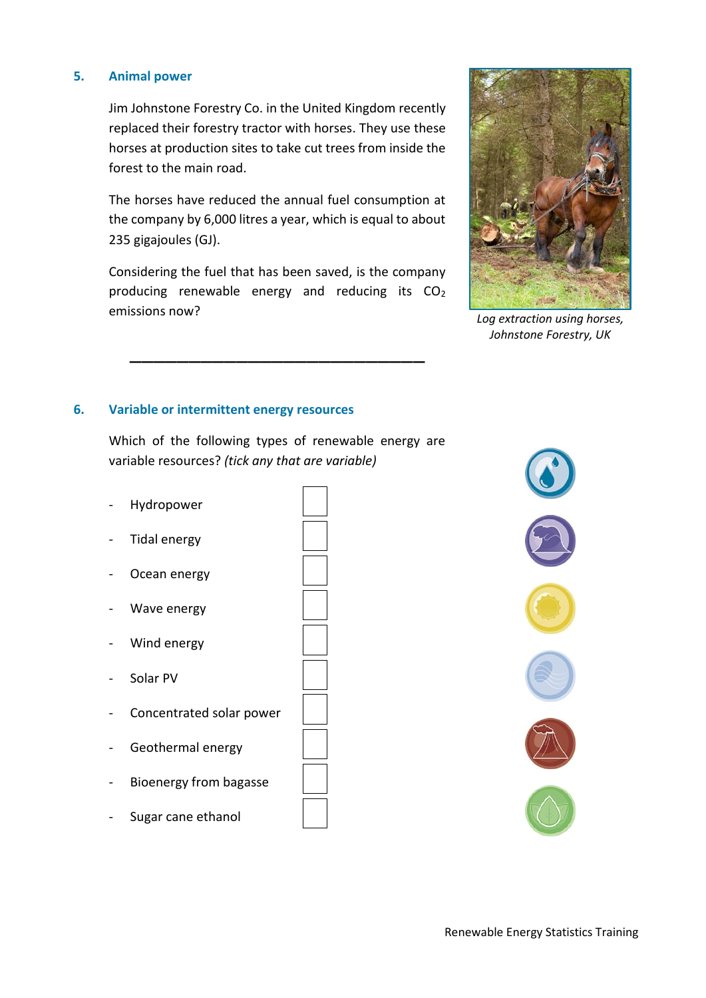## **5. Animal power**

Jim Johnstone Forestry Co. in the United Kingdom recently replaced their forestry tractor with horses. They use these horses at production sites to take cut trees from inside the forest to the main road.

The horses have reduced the annual fuel consumption at the company by 6,000 litres a year, which is equal to about 235 gigajoules (GJ).

Considering the fuel that has been saved, is the company producing renewable energy and reducing its  $CO<sub>2</sub>$ emissions now?

\_\_\_\_\_\_\_\_\_\_\_\_\_\_\_\_\_\_\_\_\_\_\_\_\_



*Log extraction using horses, Johnstone Forestry, UK*

# **6. Variable or intermittent energy resources**

Which of the following types of renewable energy are variable resources? *(tick any that are variable)*

- Hydropower \_\_
- Tidal energy
- Ocean energy
- Wave energy
- Wind energy
- Solar PV
- Concentrated solar power
- Geothermal energy
- Bioenergy from bagasse
- Sugar cane ethanol







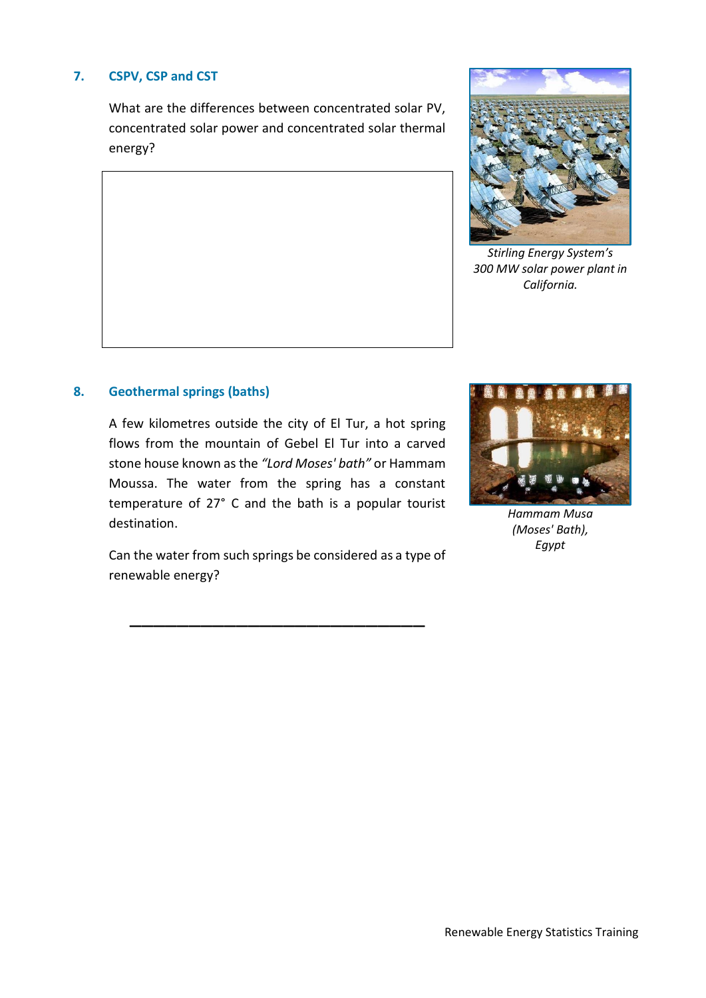# **7. CSPV, CSP and CST**

What are the differences between concentrated solar PV, concentrated solar power and concentrated solar thermal energy?



*Stirling Energy System's 300 MW solar power plant in California.*

### **8. Geothermal springs (baths)**

A few kilometres outside the city of El Tur, a hot spring flows from the mountain of Gebel El Tur into a carved stone house known as the *"Lord Moses' bath"* or Hammam Moussa. The water from the spring has a constant temperature of 27° C and the bath is a popular tourist destination.

Can the water from such springs be considered as a type of renewable energy?

\_\_\_\_\_\_\_\_\_\_\_\_\_\_\_\_\_\_\_\_\_\_\_\_\_



*Hammam Musa (Moses' Bath), Egypt*